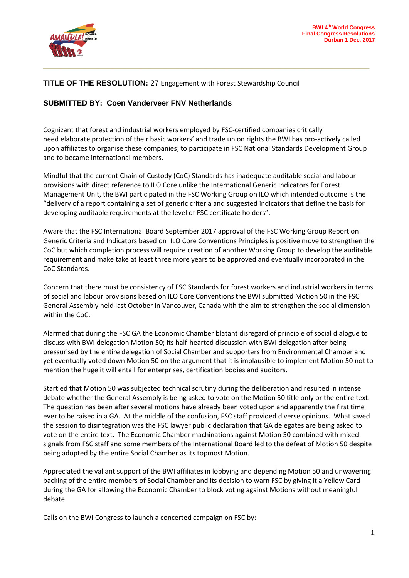

## **TITLE OF THE RESOLUTION:** 27 Engagement with Forest Stewardship Council

## **SUBMITTED BY: Coen Vanderveer FNV Netherlands**

Cognizant that forest and industrial workers employed by FSC-certified companies critically need elaborate protection of their basic workers' and trade union rights the BWI has pro-actively called upon affiliates to organise these companies; to participate in FSC National Standards Development Group and to became international members.

**\_\_\_\_\_\_\_\_\_\_\_\_\_\_\_\_\_\_\_\_\_\_\_\_\_\_\_\_\_\_\_\_\_\_\_\_\_\_\_\_\_\_\_\_\_\_\_\_\_\_\_\_\_\_\_\_\_\_\_\_\_**

Mindful that the current Chain of Custody (CoC) Standards has inadequate auditable social and labour provisions with direct reference to ILO Core unlike the International Generic Indicators for Forest Management Unit, the BWI participated in the FSC Working Group on ILO which intended outcome is the "delivery of a report containing a set of generic criteria and suggested indicators that define the basis for developing auditable requirements at the level of FSC certificate holders".

Aware that the FSC International Board September 2017 approval of the FSC Working Group Report on Generic Criteria and Indicators based on ILO Core Conventions Principles is positive move to strengthen the CoC but which completion process will require creation of another Working Group to develop the auditable requirement and make take at least three more years to be approved and eventually incorporated in the CoC Standards.

Concern that there must be consistency of FSC Standards for forest workers and industrial workers in terms of social and labour provisions based on ILO Core Conventions the BWI submitted Motion 50 in the FSC General Assembly held last October in Vancouver, Canada with the aim to strengthen the social dimension within the CoC.

Alarmed that during the FSC GA the Economic Chamber blatant disregard of principle of social dialogue to discuss with BWI delegation Motion 50; its half-hearted discussion with BWI delegation after being pressurised by the entire delegation of Social Chamber and supporters from Environmental Chamber and yet eventually voted down Motion 50 on the argument that it is implausible to implement Motion 50 not to mention the huge it will entail for enterprises, certification bodies and auditors.

Startled that Motion 50 was subjected technical scrutiny during the deliberation and resulted in intense debate whether the General Assembly is being asked to vote on the Motion 50 title only or the entire text. The question has been after several motions have already been voted upon and apparently the first time ever to be raised in a GA. At the middle of the confusion, FSC staff provided diverse opinions. What saved the session to disintegration was the FSC lawyer public declaration that GA delegates are being asked to vote on the entire text. The Economic Chamber machinations against Motion 50 combined with mixed signals from FSC staff and some members of the International Board led to the defeat of Motion 50 despite being adopted by the entire Social Chamber as its topmost Motion.

Appreciated the valiant support of the BWI affiliates in lobbying and depending Motion 50 and unwavering backing of the entire members of Social Chamber and its decision to warn FSC by giving it a Yellow Card during the GA for allowing the Economic Chamber to block voting against Motions without meaningful debate.

Calls on the BWI Congress to launch a concerted campaign on FSC by: